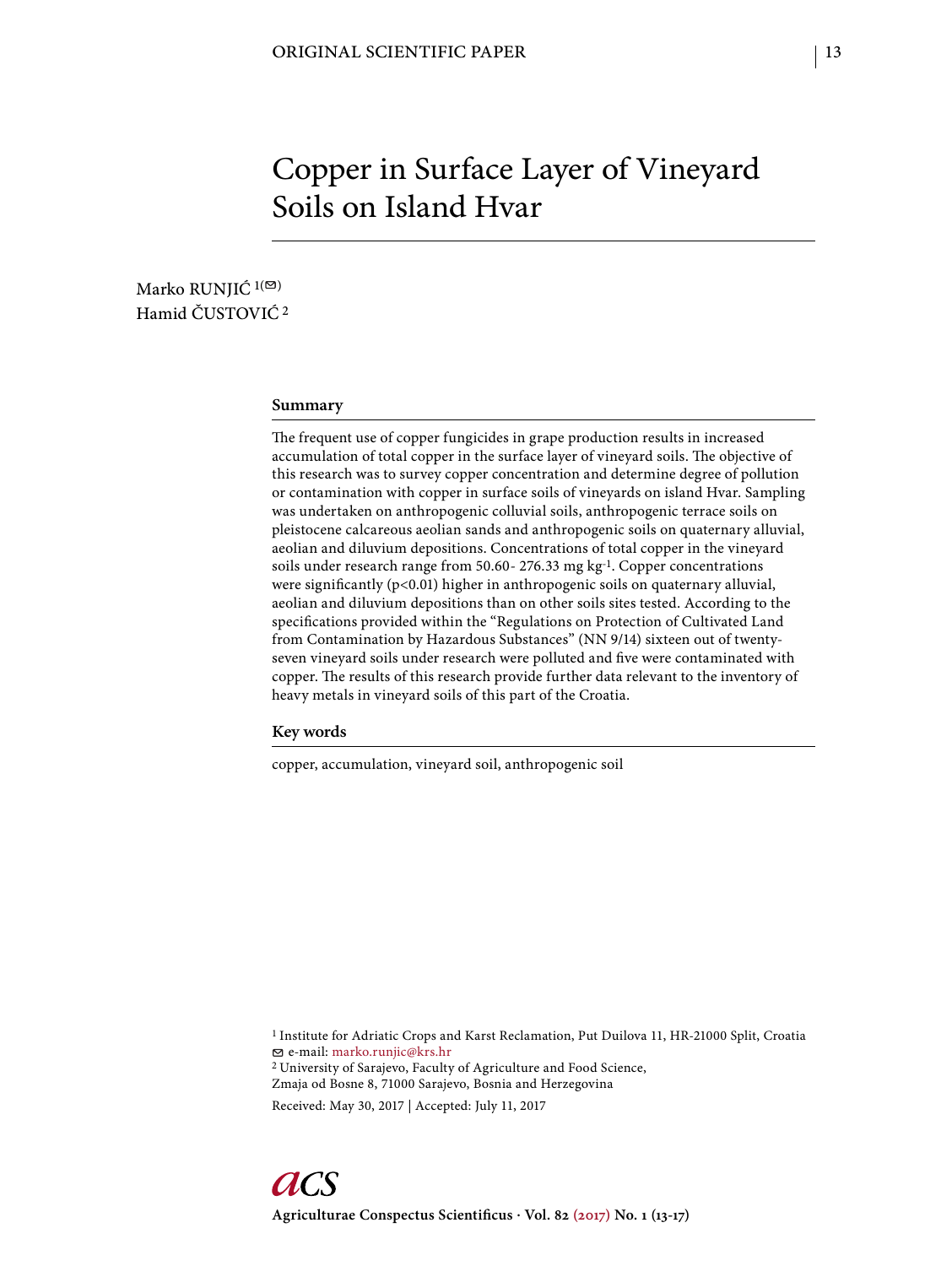# Copper in Surface Layer of Vineyard Soils on Island Hvar

Marko RUNJIĆ<sup>1(⊠)</sup> Hamid ČUSTOVIĆ 2

#### **Summary**

The frequent use of copper fungicides in grape production results in increased accumulation of total copper in the surface layer of vineyard soils. The objective of this research was to survey copper concentration and determine degree of pollution or contamination with copper in surface soils of vineyards on island Hvar. Sampling was undertaken on anthropogenic colluvial soils, anthropogenic terrace soils on pleistocene calcareous aeolian sands and anthropogenic soils on quaternary alluvial, aeolian and diluvium depositions. Concentrations of total copper in the vineyard soils under research range from 50.60- 276.33 mg kg-1. Copper concentrations were significantly ( $p$ <0.01) higher in anthropogenic soils on quaternary alluvial, aeolian and diluvium depositions than on other soils sites tested. According to the specifications provided within the "Regulations on Protection of Cultivated Land from Contamination by Hazardous Substances" (NN 9/14) sixteen out of twentyseven vineyard soils under research were polluted and five were contaminated with copper. The results of this research provide further data relevant to the inventory of heavy metals in vineyard soils of this part of the Croatia.

**Key words**

copper, accumulation, vineyard soil, anthropogenic soil

1 Institute for Adriatic Crops and Karst Reclamation, Put Duilova 11, HR-21000 Split, Croatia e-mail: marko.runjic@krs.hr 2 University of Sarajevo, Faculty of Agriculture and Food Science,

Zmaja od Bosne 8, 71000 Sarajevo, Bosnia and Herzegovina

Received: May 30, 2017 | Accepted: July 11, 2017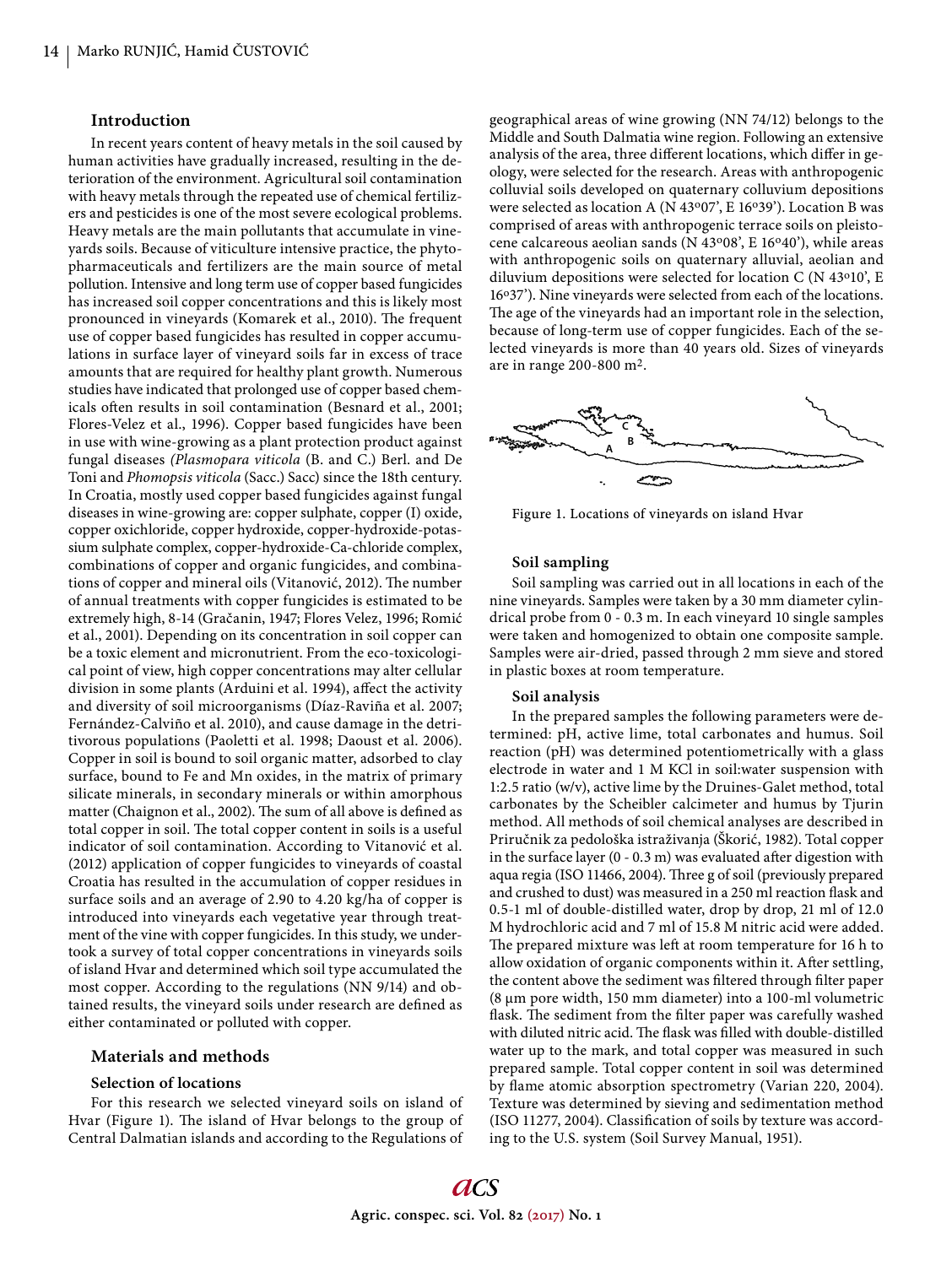### **Introduction**

In recent years content of heavy metals in the soil caused by human activities have gradually increased, resulting in the deterioration of the environment. Agricultural soil contamination with heavy metals through the repeated use of chemical fertilizers and pesticides is one of the most severe ecological problems. Heavy metals are the main pollutants that accumulate in vineyards soils. Because of viticulture intensive practice, the phytopharmaceuticals and fertilizers are the main source of metal pollution. Intensive and long term use of copper based fungicides has increased soil copper concentrations and this is likely most pronounced in vineyards (Komarek et al., 2010). The frequent use of copper based fungicides has resulted in copper accumulations in surface layer of vineyard soils far in excess of trace amounts that are required for healthy plant growth. Numerous studies have indicated that prolonged use of copper based chemicals often results in soil contamination (Besnard et al., 2001; Flores-Velez et al., 1996). Copper based fungicides have been in use with wine-growing as a plant protection product against fungal diseases *(Plasmopara viticola* (B. and C.) Berl. and De Toni and *Phomopsis viticola* (Sacc.) Sacc) since the 18th century. In Croatia, mostly used copper based fungicides against fungal diseases in wine-growing are: copper sulphate, copper (I) oxide, copper oxichloride, copper hydroxide, copper-hydroxide-potassium sulphate complex, copper-hydroxide-Ca-chloride complex, combinations of copper and organic fungicides, and combinations of copper and mineral oils (Vitanović, 2012). The number of annual treatments with copper fungicides is estimated to be extremely high, 8-14 (Gračanin, 1947; Flores Velez, 1996; Romić et al., 2001). Depending on its concentration in soil copper can be a toxic element and micronutrient. From the eco-toxicological point of view, high copper concentrations may alter cellular division in some plants (Arduini et al. 1994), affect the activity and diversity of soil microorganisms (Díaz-Raviña et al. 2007; Fernández-Calviño et al. 2010), and cause damage in the detritivorous populations (Paoletti et al. 1998; Daoust et al. 2006). Copper in soil is bound to soil organic matter, adsorbed to clay surface, bound to Fe and Mn oxides, in the matrix of primary silicate minerals, in secondary minerals or within amorphous matter (Chaignon et al., 2002). The sum of all above is defined as total copper in soil. The total copper content in soils is a useful indicator of soil contamination. According to Vitanović et al. (2012) application of copper fungicides to vineyards of coastal Croatia has resulted in the accumulation of copper residues in surface soils and an average of 2.90 to 4.20 kg/ha of copper is introduced into vineyards each vegetative year through treatment of the vine with copper fungicides. In this study, we undertook a survey of total copper concentrations in vineyards soils of island Hvar and determined which soil type accumulated the most copper. According to the regulations (NN 9/14) and obtained results, the vineyard soils under research are defined as either contaminated or polluted with copper.

#### **Materials and methods**

#### **Selection of locations**

For this research we selected vineyard soils on island of Hvar (Figure 1). The island of Hvar belongs to the group of Central Dalmatian islands and according to the Regulations of geographical areas of wine growing (NN 74/12) belongs to the Middle and South Dalmatia wine region. Following an extensive analysis of the area, three different locations, which differ in geology, were selected for the research. Areas with anthropogenic colluvial soils developed on quaternary colluvium depositions were selected as location A (N 43°07', E 16°39'). Location B was comprised of areas with anthropogenic terrace soils on pleistocene calcareous aeolian sands (N 43°08', E 16°40'), while areas with anthropogenic soils on quaternary alluvial, aeolian and diluvium depositions were selected for location C (N 43o10', E 16°37'). Nine vineyards were selected from each of the locations. The age of the vineyards had an important role in the selection, because of long-term use of copper fungicides. Each of the selected vineyards is more than 40 years old. Sizes of vineyards are in range 200-800 m2.



Figure 1. Locations of vineyards on island Hvar

## **Soil sampling**

Soil sampling was carried out in all locations in each of the nine vineyards. Samples were taken by a 30 mm diameter cylindrical probe from 0 - 0.3 m. In each vineyard 10 single samples were taken and homogenized to obtain one composite sample. Samples were air-dried, passed through 2 mm sieve and stored in plastic boxes at room temperature.

#### **Soil analysis**

In the prepared samples the following parameters were determined: pH, active lime, total carbonates and humus. Soil reaction (pH) was determined potentiometrically with a glass electrode in water and 1 M KCl in soil:water suspension with 1:2.5 ratio (w/v), active lime by the Druines-Galet method, total carbonates by the Scheibler calcimeter and humus by Tjurin method. All methods of soil chemical analyses are described in Priručnik za pedološka istraživanja (Škorić, 1982). Total copper in the surface layer  $(0 - 0.3 \text{ m})$  was evaluated after digestion with aqua regia (ISO 11466, 2004). Three g of soil (previously prepared and crushed to dust) was measured in a 250 ml reaction flask and 0.5-1 ml of double-distilled water, drop by drop, 21 ml of 12.0 M hydrochloric acid and 7 ml of 15.8 M nitric acid were added. The prepared mixture was left at room temperature for 16 h to allow oxidation of organic components within it. After settling, the content above the sediment was filtered through filter paper (8 μm pore width, 150 mm diameter) into a 100-ml volumetric flask. The sediment from the filter paper was carefully washed with diluted nitric acid. The flask was filled with double-distilled water up to the mark, and total copper was measured in such prepared sample. Total copper content in soil was determined by flame atomic absorption spectrometry (Varian 220, 2004). Texture was determined by sieving and sedimentation method (ISO 11277, 2004). Classification of soils by texture was according to the U.S. system (Soil Survey Manual, 1951).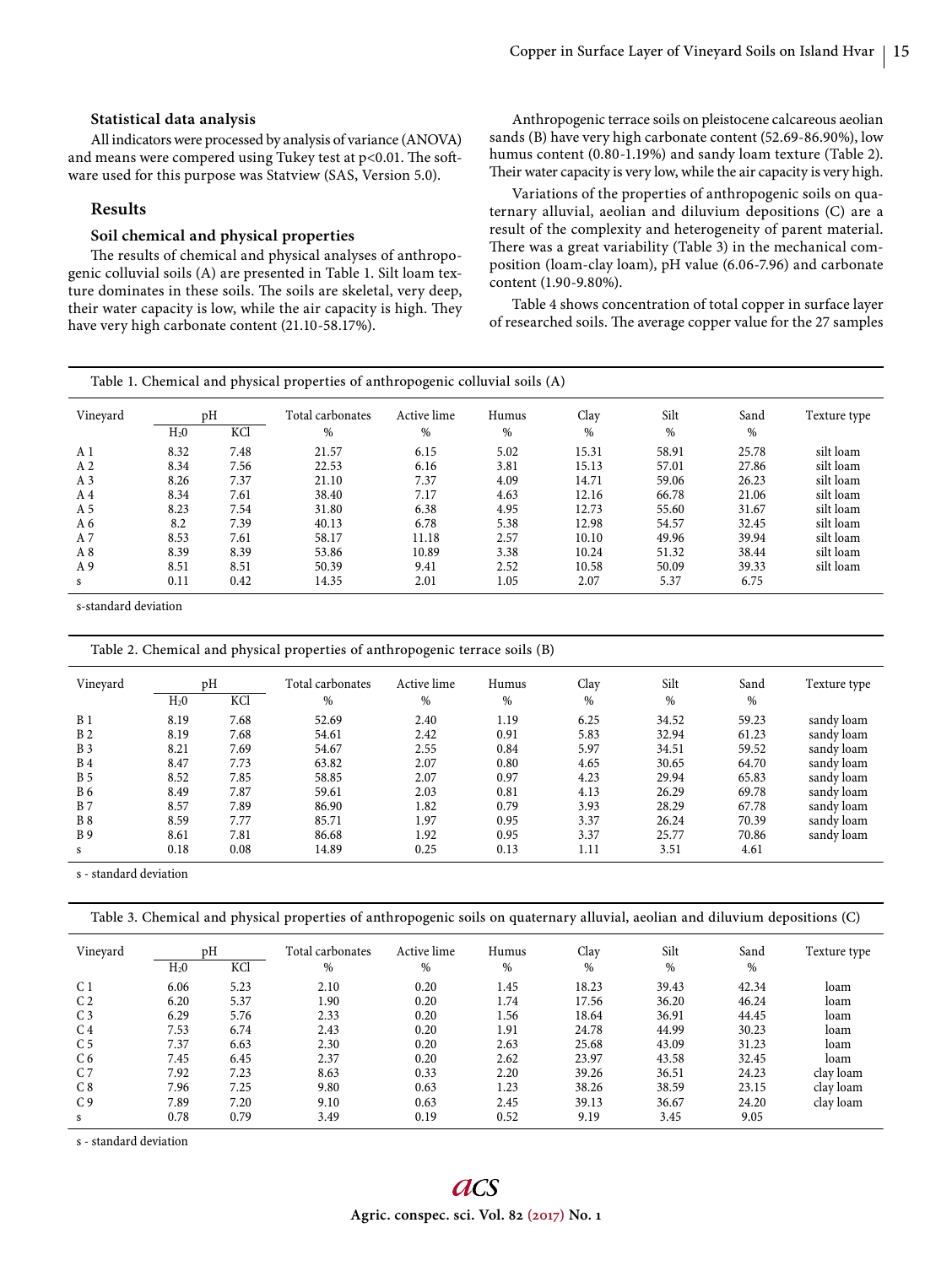#### **Statistical data analysis**

All indicators were processed by analysis of variance (ANOVA) and means were compered using Tukey test at  $p<0.01$ . The software used for this purpose was Statview (SAS, Version 5.0).

### **Results**

## **Soil chemical and physical properties**

The results of chemical and physical analyses of anthropogenic colluvial soils (A) are presented in Table 1. Silt loam texture dominates in these soils. The soils are skeletal, very deep, their water capacity is low, while the air capacity is high. They have very high carbonate content (21.10-58.17%).

Anthropogenic terrace soils on pleistocene calcareous aeolian sands (B) have very high carbonate content (52.69-86.90%), low humus content (0.80-1.19%) and sandy loam texture (Table 2). Their water capacity is very low, while the air capacity is very high.

Variations of the properties of anthropogenic soils on quaternary alluvial, aeolian and diluvium depositions (C) are a result of the complexity and heterogeneity of parent material. There was a great variability (Table 3) in the mechanical composition (loam-clay loam), pH value (6.06-7.96) and carbonate content (1.90-9.80%).

Table 4 shows concentration of total copper in surface layer of researched soils. The average copper value for the 27 samples

|  |  |  | Table 1. Chemical and physical properties of anthropogenic colluvial soils (A) |
|--|--|--|--------------------------------------------------------------------------------|
|--|--|--|--------------------------------------------------------------------------------|

| Vinevard       | pH               |      | Total carbonates | Active lime | Humus | Clay  | Silt  | Sand  | Texture type |
|----------------|------------------|------|------------------|-------------|-------|-------|-------|-------|--------------|
|                | H <sub>2</sub> 0 | KCl  | %                | %           | $\%$  | %     | $\%$  | %     |              |
| A <sub>1</sub> | 8.32             | 7.48 | 21.57            | 6.15        | 5.02  | 15.31 | 58.91 | 25.78 | silt loam    |
| A <sub>2</sub> | 8.34             | 7.56 | 22.53            | 6.16        | 3.81  | 15.13 | 57.01 | 27.86 | silt loam    |
| A <sub>3</sub> | 8.26             | 7.37 | 21.10            | 7.37        | 4.09  | 14.71 | 59.06 | 26.23 | silt loam    |
| A <sub>4</sub> | 8.34             | 7.61 | 38.40            | 7.17        | 4.63  | 12.16 | 66.78 | 21.06 | silt loam    |
| A 5            | 8.23             | 7.54 | 31.80            | 6.38        | 4.95  | 12.73 | 55.60 | 31.67 | silt loam    |
| A 6            | 8.2              | 7.39 | 40.13            | 6.78        | 5.38  | 12.98 | 54.57 | 32.45 | silt loam    |
| A 7            | 8.53             | 7.61 | 58.17            | 11.18       | 2.57  | 10.10 | 49.96 | 39.94 | silt loam    |
| A8             | 8.39             | 8.39 | 53.86            | 10.89       | 3.38  | 10.24 | 51.32 | 38.44 | silt loam    |
| A 9            | 8.51             | 8.51 | 50.39            | 9.41        | 2.52  | 10.58 | 50.09 | 39.33 | silt loam    |
| s              | 0.11             | 0.42 | 14.35            | 2.01        | 1.05  | 2.07  | 5.37  | 6.75  |              |

s-standard deviation

Table 2. Chemical and physical properties of anthropogenic terrace soils (B)

| Vinevard   | H <sub>2</sub> 0 | pH<br>KCl | Total carbonates<br>% | Active lime<br>% | Humus<br>% | Clay<br>$\%$ | Silt<br>$\%$ | Sand<br>$\%$ | Texture type |
|------------|------------------|-----------|-----------------------|------------------|------------|--------------|--------------|--------------|--------------|
|            |                  |           |                       |                  |            |              |              |              |              |
| <b>B</b> 1 | 8.19             | 7.68      | 52.69                 | 2.40             | 1.19       | 6.25         | 34.52        | 59.23        | sandy loam   |
| <b>B2</b>  | 8.19             | 7.68      | 54.61                 | 2.42             | 0.91       | 5.83         | 32.94        | 61.23        | sandy loam   |
| <b>B</b> 3 | 8.21             | 7.69      | 54.67                 | 2.55             | 0.84       | 5.97         | 34.51        | 59.52        | sandy loam   |
| <b>B</b> 4 | 8.47             | 7.73      | 63.82                 | 2.07             | 0.80       | 4.65         | 30.65        | 64.70        | sandy loam   |
| <b>B</b> 5 | 8.52             | 7.85      | 58.85                 | 2.07             | 0.97       | 4.23         | 29.94        | 65.83        | sandy loam   |
| <b>B6</b>  | 8.49             | 7.87      | 59.61                 | 2.03             | 0.81       | 4.13         | 26.29        | 69.78        | sandy loam   |
| <b>B</b> 7 | 8.57             | 7.89      | 86.90                 | 1.82             | 0.79       | 3.93         | 28.29        | 67.78        | sandy loam   |
| <b>B</b> 8 | 8.59             | 7.77      | 85.71                 | 1.97             | 0.95       | 3.37         | 26.24        | 70.39        | sandy loam   |
| <b>B</b> 9 | 8.61             | 7.81      | 86.68                 | 1.92             | 0.95       | 3.37         | 25.77        | 70.86        | sandy loam   |
| s          | 0.18             | 0.08      | 14.89                 | 0.25             | 0.13       | 1.11         | 3.51         | 4.61         |              |

s - standard deviation

| Table 3. Chemical and physical properties of anthropogenic soils on quaternary alluvial, aeolian and diluvium depositions (C) |  |  |
|-------------------------------------------------------------------------------------------------------------------------------|--|--|
|                                                                                                                               |  |  |
|                                                                                                                               |  |  |
|                                                                                                                               |  |  |

| Vineyard       | pΗ               |      | Total carbonates | Active lime | Humus | Clay  | Silt  | Sand  | Texture type |
|----------------|------------------|------|------------------|-------------|-------|-------|-------|-------|--------------|
|                | H <sub>2</sub> 0 | KCl  | $\%$             | %           | %     | %     | $\%$  | $\%$  |              |
| C <sub>1</sub> | 6.06             | 5.23 | 2.10             | 0.20        | 1.45  | 18.23 | 39.43 | 42.34 | loam         |
| C <sub>2</sub> | 6.20             | 5.37 | 1.90             | 0.20        | 1.74  | 17.56 | 36.20 | 46.24 | loam         |
| C <sub>3</sub> | 6.29             | 5.76 | 2.33             | 0.20        | .56   | 18.64 | 36.91 | 44.45 | loam         |
| C <sub>4</sub> | 7.53             | 6.74 | 2.43             | 0.20        | 1.91  | 24.78 | 44.99 | 30.23 | loam         |
| C <sub>5</sub> | 7.37             | 6.63 | 2.30             | 0.20        | 2.63  | 25.68 | 43.09 | 31.23 | loam         |
| C <sub>6</sub> | 7.45             | 6.45 | 2.37             | 0.20        | 2.62  | 23.97 | 43.58 | 32.45 | loam         |
| C <sub>7</sub> | 7.92             | 7.23 | 8.63             | 0.33        | 2.20  | 39.26 | 36.51 | 24.23 | clav loam    |
| C 8            | 7.96             | 7.25 | 9.80             | 0.63        | 1.23  | 38.26 | 38.59 | 23.15 | clav loam    |
| C <sub>9</sub> | 7.89             | 7.20 | 9.10             | 0.63        | 2.45  | 39.13 | 36.67 | 24.20 | clay loam    |
|                | 0.78             | 0.79 | 3.49             | 0.19        | 0.52  | 9.19  | 3.45  | 9.05  |              |

s - standard deviation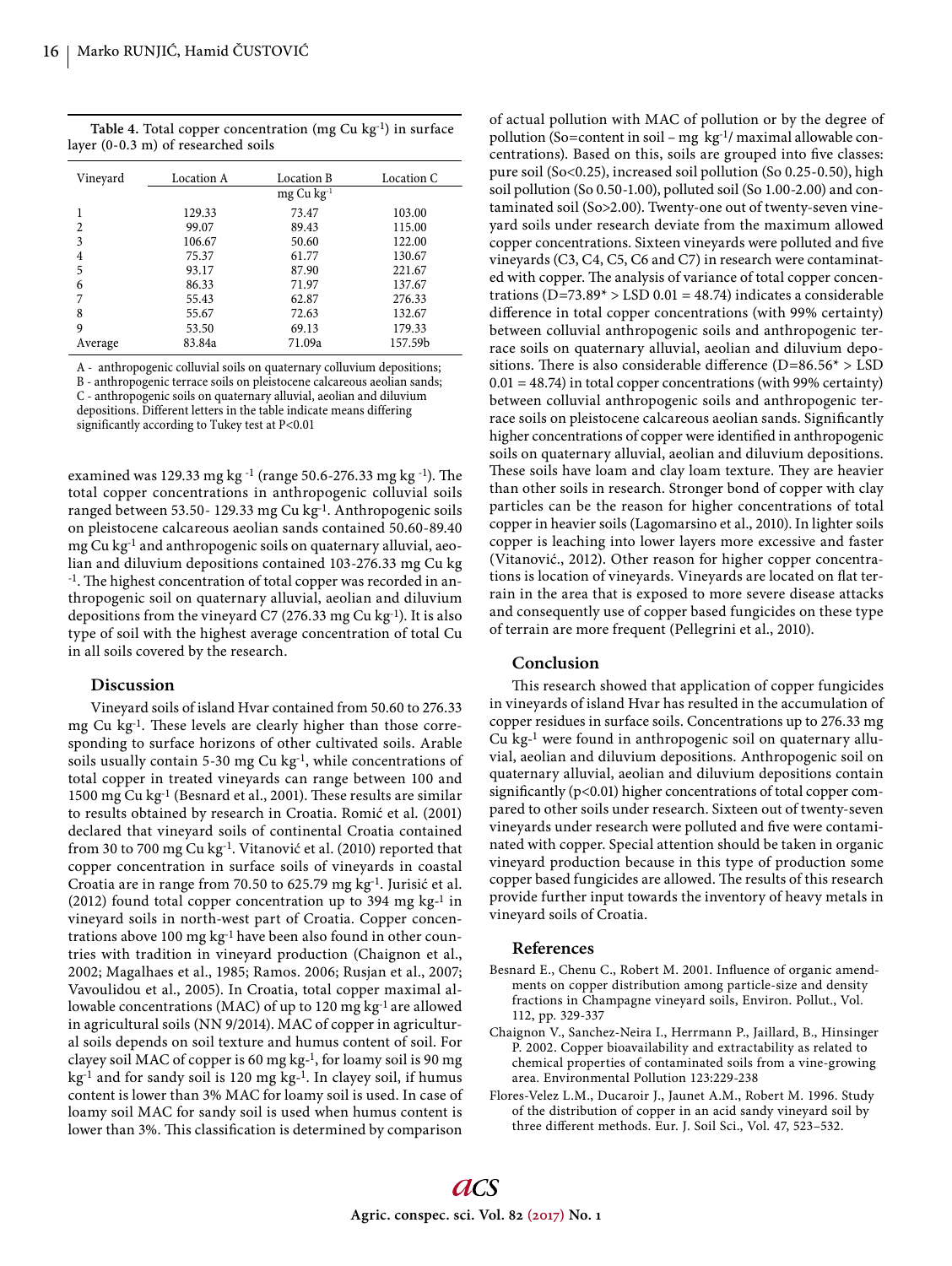Table 4. Total copper concentration (mg Cu kg<sup>-1</sup>) in surface layer (0-0.3 m) of researched soils

| Vineyard       | <b>Location A</b> | Location B        | Location C |
|----------------|-------------------|-------------------|------------|
|                |                   | $mg$ Cu $kg^{-1}$ |            |
|                | 129.33            | 73.47             | 103.00     |
| $\overline{c}$ | 99.07             | 89.43             | 115.00     |
| 3              | 106.67            | 50.60             | 122.00     |
| 4              | 75.37             | 61.77             | 130.67     |
| 5              | 93.17             | 87.90             | 221.67     |
| 6              | 86.33             | 71.97             | 137.67     |
|                | 55.43             | 62.87             | 276.33     |
| 8              | 55.67             | 72.63             | 132.67     |
| 9              | 53.50             | 69.13             | 179.33     |
| Average        | 83.84a            | 71.09a            | 157.59b    |

A - anthropogenic colluvial soils on quaternary colluvium depositions; B - anthropogenic terrace soils on pleistocene calcareous aeolian sands;

C - anthropogenic soils on quaternary alluvial, aeolian and diluvium depositions. Different letters in the table indicate means differing significantly according to Tukey test at P<0.01

examined was 129.33 mg kg <sup>-1</sup> (range 50.6-276.33 mg kg <sup>-1</sup>). The total copper concentrations in anthropogenic colluvial soils ranged between 53.50- 129.33 mg Cu kg-1. Anthropogenic soils on pleistocene calcareous aeolian sands contained 50.60-89.40 mg Cu kg-1 and anthropogenic soils on quaternary alluvial, aeolian and diluvium depositions contained 103-276.33 mg Cu kg <sup>-1</sup>. The highest concentration of total copper was recorded in anthropogenic soil on quaternary alluvial, aeolian and diluvium depositions from the vineyard C7 (276.33 mg Cu kg-1). It is also type of soil with the highest average concentration of total Cu in all soils covered by the research.

## **Discussion**

Vineyard soils of island Hvar contained from 50.60 to 276.33 mg Cu kg<sup>-1</sup>. These levels are clearly higher than those corresponding to surface horizons of other cultivated soils. Arable soils usually contain 5-30 mg Cu kg-1, while concentrations of total copper in treated vineyards can range between 100 and 1500 mg Cu kg<sup>-1</sup> (Besnard et al., 2001). These results are similar to results obtained by research in Croatia. Romić et al. (2001) declared that vineyard soils of continental Croatia contained from 30 to 700 mg Cu kg-1. Vitanović et al. (2010) reported that copper concentration in surface soils of vineyards in coastal Croatia are in range from 70.50 to 625.79 mg kg-1. Jurisić et al. (2012) found total copper concentration up to 394 mg kg-1 in vineyard soils in north-west part of Croatia. Copper concentrations above 100 mg kg-1 have been also found in other countries with tradition in vineyard production (Chaignon et al., 2002; Magalhaes et al., 1985; Ramos. 2006; Rusjan et al., 2007; Vavoulidou et al., 2005). In Croatia, total copper maximal allowable concentrations (MAC) of up to 120 mg kg<sup>-1</sup> are allowed in agricultural soils (NN 9/2014). MAC of copper in agricultural soils depends on soil texture and humus content of soil. For clayey soil MAC of copper is 60 mg kg-1, for loamy soil is 90 mg kg-1 and for sandy soil is 120 mg kg-1. In clayey soil, if humus content is lower than 3% MAC for loamy soil is used. In case of loamy soil MAC for sandy soil is used when humus content is lower than 3%. This classification is determined by comparison

of actual pollution with MAC of pollution or by the degree of pollution (So=content in soil – mg  $kg^{-1}$ / maximal allowable concentrations). Based on this, soils are grouped into five classes: pure soil (So<0.25), increased soil pollution (So 0.25-0.50), high soil pollution (So 0.50-1.00), polluted soil (So 1.00-2.00) and contaminated soil (So>2.00). Twenty-one out of twenty-seven vineyard soils under research deviate from the maximum allowed copper concentrations. Sixteen vineyards were polluted and five vineyards (C3, C4, C5, C6 and C7) in research were contaminated with copper. The analysis of variance of total copper concentrations ( $D=73.89*$  > LSD 0.01 = 48.74) indicates a considerable difference in total copper concentrations (with 99% certainty) between colluvial anthropogenic soils and anthropogenic terrace soils on quaternary alluvial, aeolian and diluvium depositions. There is also considerable difference ( $D=86.56* > LSD$  $0.01 = 48.74$ ) in total copper concentrations (with 99% certainty) between colluvial anthropogenic soils and anthropogenic terrace soils on pleistocene calcareous aeolian sands. Significantly higher concentrations of copper were identified in anthropogenic soils on quaternary alluvial, aeolian and diluvium depositions. These soils have loam and clay loam texture. They are heavier than other soils in research. Stronger bond of copper with clay particles can be the reason for higher concentrations of total copper in heavier soils (Lagomarsino et al., 2010). In lighter soils copper is leaching into lower layers more excessive and faster (Vitanović., 2012). Other reason for higher copper concentrations is location of vineyards. Vineyards are located on flat terrain in the area that is exposed to more severe disease attacks and consequently use of copper based fungicides on these type of terrain are more frequent (Pellegrini et al., 2010).

#### **Conclusion**

This research showed that application of copper fungicides in vineyards of island Hvar has resulted in the accumulation of copper residues in surface soils. Concentrations up to 276.33 mg Cu kg-1 were found in anthropogenic soil on quaternary alluvial, aeolian and diluvium depositions. Anthropogenic soil on quaternary alluvial, aeolian and diluvium depositions contain significantly ( $p<0.01$ ) higher concentrations of total copper compared to other soils under research. Sixteen out of twenty-seven vineyards under research were polluted and five were contaminated with copper. Special attention should be taken in organic vineyard production because in this type of production some copper based fungicides are allowed. The results of this research provide further input towards the inventory of heavy metals in vineyard soils of Croatia.

## **References**

- Besnard E., Chenu C., Robert M. 2001. Influence of organic amendments on copper distribution among particle-size and density fractions in Champagne vineyard soils, Environ. Pollut., Vol. 112, pp. 329-337
- Chaignon V., Sanchez-Neira I., Herrmann P., Jaillard, B., Hinsinger P. 2002. Copper bioavailability and extractability as related to chemical properties of contaminated soils from a vine-growing area. Environmental Pollution 123:229-238
- Flores-Velez L.M., Ducaroir J., Jaunet A.M., Robert M. 1996. Study of the distribution of copper in an acid sandy vineyard soil by three different methods. Eur. J. Soil Sci., Vol. 47, 523-532.